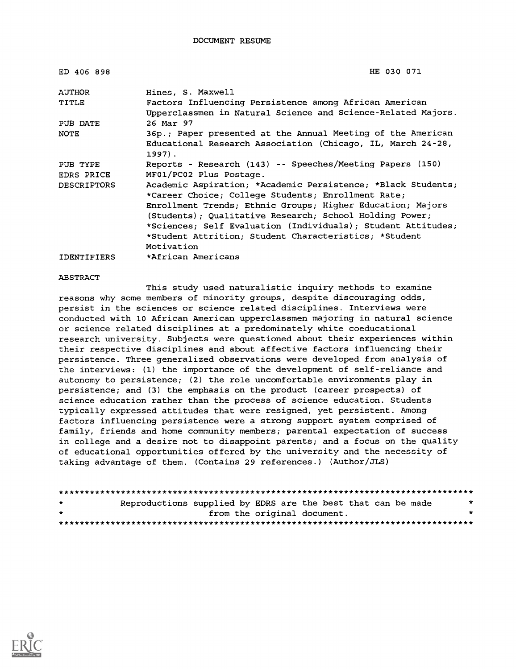| ED 406 898         | HE 030 071                                                            |
|--------------------|-----------------------------------------------------------------------|
| <b>AUTHOR</b>      | Hines, S. Maxwell                                                     |
| TITLE              | Factors Influencing Persistence among African American                |
|                    | Upperclassmen in Natural Science and Science-Related Majors.          |
| PUB DATE           | 26 Mar 97                                                             |
| <b>NOTE</b>        | 36p.; Paper presented at the Annual Meeting of the American           |
|                    | Educational Research Association (Chicago, IL, March 24-28,<br>1997). |
| PUB TYPE           | Reports - Research (143) -- Speeches/Meeting Papers (150)             |
| <b>EDRS PRICE</b>  | MF01/PC02 Plus Postage.                                               |
| <b>DESCRIPTORS</b> | Academic Aspiration; *Academic Persistence; *Black Students;          |
|                    | *Career Choice; College Students; Enrollment Rate;                    |
|                    | Enrollment Trends; Ethnic Groups; Higher Education; Majors            |
|                    | (Students); Oualitative Research; School Holding Power;               |
|                    | *Sciences; Self Evaluation (Individuals); Student Attitudes;          |
|                    | *Student Attrition; Student Characteristics; *Student                 |
|                    | Motivation                                                            |
| <b>IDENTIFIERS</b> | *African Americans                                                    |

#### ABSTRACT

This study used naturalistic inquiry methods to examine reasons why some members of minority groups, despite discouraging odds, persist in the sciences or science related disciplines. Interviews were conducted with 10 African American upperclassmen majoring in natural science or science related disciplines at a predominately white coeducational research university. Subjects were questioned about their experiences within their respective disciplines and about affective factors influencing their persistence. Three generalized observations were developed from analysis of the interviews: (1) the importance of the development of self-reliance and autonomy to persistence; (2) the role uncomfortable environments play in persistence; and (3) the emphasis on the product (career prospects) of science education rather than the process of science education. Students typically expressed attitudes that were resigned, yet persistent. Among factors influencing persistence were a strong support system comprised of family, friends and home community members; parental expectation of success in college and a desire not to disappoint parents; and a focus on the quality of educational opportunities offered by the university and the necessity of taking advantage of them. (Contains 29 references.) (Author/JLS)

```
********************************************************************************
           Reproductions supplied by EDRS are the best that can be made
                            from the original document.
********************************************************************************
```
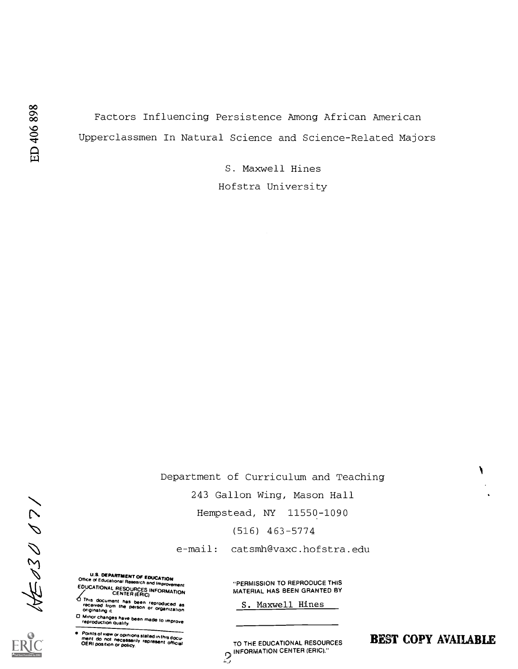Factors Influencing Persistence Among African American Upperclassmen In Natural Science and Science-Related Majors

> S. Maxwell Hines Hofstra University

Department of Curriculum and Teaching

243 Gallon Wing, Mason Hall

(516) 463-5774

e-mail: catsmh@vaxc.hofstra.edu

U.S. DEPARTMENT OF EDUCATION Of CONSUMERT OF EDUCATION Office of Educational Research and Improvement "PERMISSION TO REPRODUCE THIS EDUCATIONAL RESOURCES INFORMATION<br>CENTER (ERIC)<br>O This document has been reproduced as

This from the person Or organization S. Maxwell Hines his document has been reproduced as originating it.

0 Minor changes have been made to improve reproduction Quality.

Points of view or opinions stated in this docu-<br>ment do incl inecessarily represent official<br>OFRI noe that necessarily represent official

MATERIAL HAS BEEN GRANTED BY

OERI position or policy represent official **TO THE EDUCATIONAL RESOURCES** INFORMATION CENTER (ERIC)."

BEST COPY AVAILABLE

Hempstead, NY 11550-1090<br>
(516) 463-5774<br>
(516) 463-5774<br>
(516) 463-5774<br>
(516) 463-5774<br>
(516) 463-5774<br>
(516) 463-5774<br>
(516) 463-5774<br>
(516) 463-5774<br>
(516) 679 (116) 679 (116)<br>
(620 CATORAL RESOLUTION ATENDING MATERIAL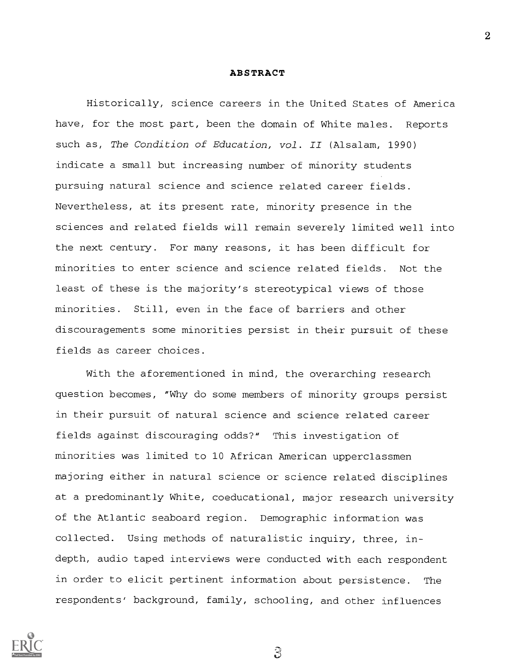# ABSTRACT

Historically, science careers in the United States of America have, for the most part, been the domain of White males. Reports such as, The Condition of Education, vol. II (Alsalam, 1990) indicate a small but increasing number of minority students pursuing natural science and science related career fields. Nevertheless, at its present rate, minority presence in the sciences and related fields will remain severely limited well into the next century. For many reasons, it has been difficult for minorities to enter science and science related fields. Not the least of these is the majority's stereotypical views of those minorities. Still, even in the face of barriers and other discouragements some minorities persist in their pursuit of these fields as career choices.

With the aforementioned in mind, the overarching research question becomes, "Why do some members of minority groups persist in their pursuit of natural science and science related career fields against discouraging odds?" This investigation of minorities was limited to 10 African American upperclassmen majoring either in natural science or science related disciplines at a predominantly White, coeducational, major research university of the Atlantic seaboard region. Demographic information was collected. Using methods of naturalistic inquiry, three, indepth, audio taped interviews were conducted with each respondent in order to elicit pertinent information about persistence. The respondents' background, family, schooling, and other influences



a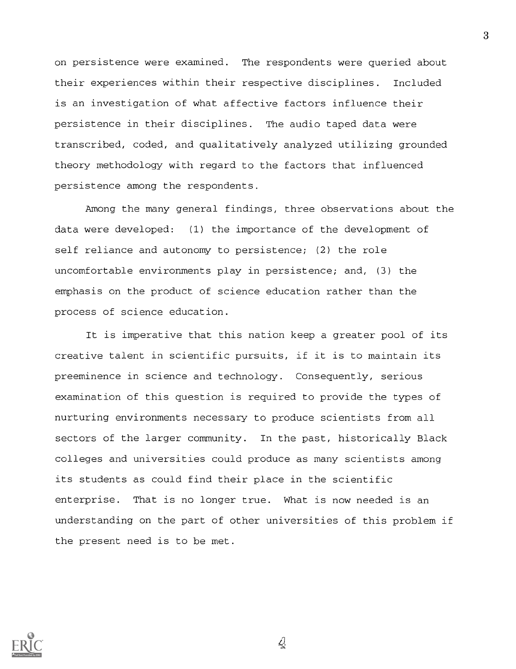on persistence were examined. The respondents were queried about their experiences within their respective disciplines. Included is an investigation of what affective factors influence their persistence in their disciplines. The audio taped data were transcribed, coded, and qualitatively analyzed utilizing grounded theory methodology with regard to the factors that influenced persistence among the respondents.

Among the many general findings, three observations about the data were developed: (1) the importance of the development of self reliance and autonomy to persistence; (2) the role uncomfortable environments play in persistence; and, (3) the emphasis on the product of science education rather than the process of science education.

It is imperative that this nation keep a greater pool of its creative talent in scientific pursuits, if it is to maintain its preeminence in science and technology. Consequently, serious examination of this question is required to provide the types of nurturing environments necessary to produce scientists from all sectors of the larger community. In the past, historically Black colleges and universities could produce as many scientists among its students as could find their place in the scientific enterprise. That is no longer true. What is now needed is an understanding on the part of other universities of this problem if the present need is to be met.



 $\mathcal{L}$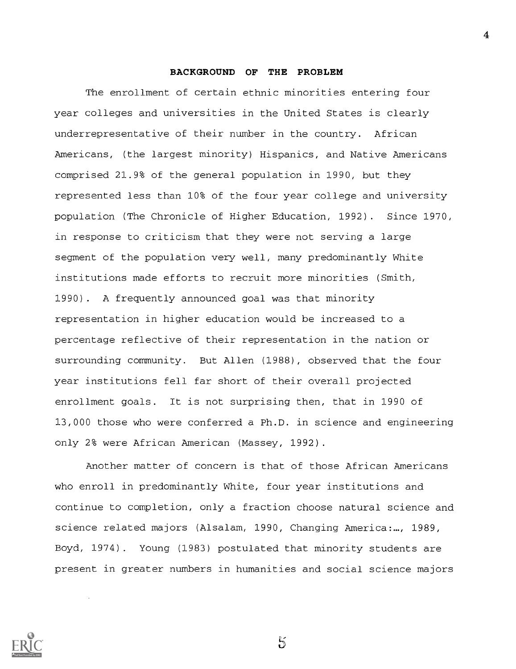# BACKGROUND OF THE PROBLEM

The enrollment of certain ethnic minorities entering four year colleges and universities in the United States is clearly underrepresentative of their number in the country. African Americans, (the largest minority) Hispanics, and Native Americans comprised 21.9% of the general population in 1990, but they represented less than 10% of the four year college and university population (The Chronicle of Higher Education, 1992). Since 1970, in response to criticism that they were not serving a large segment of the population very well, many predominantly White institutions made efforts to recruit more minorities (Smith, 1990). A frequently announced goal was that minority representation in higher education would be increased to a percentage reflective of their representation in the nation or surrounding community. But Allen (1988), observed that the four year institutions fell far short of their overall projected enrollment goals. It is not surprising then, that in 1990 of 13,000 those who were conferred a Ph.D. in science and engineering only 2% were African American (Massey, 1992).

Another matter of concern is that of those African Americans who enroll in predominantly White, four year institutions and continue to completion, only a fraction choose natural science and science related majors (Alsalam, 1990, Changing America:..., 1989, Boyd, 1974). Young (1983) postulated that minority students are present in greater numbers in humanities and social science majors



 $\tilde{5}$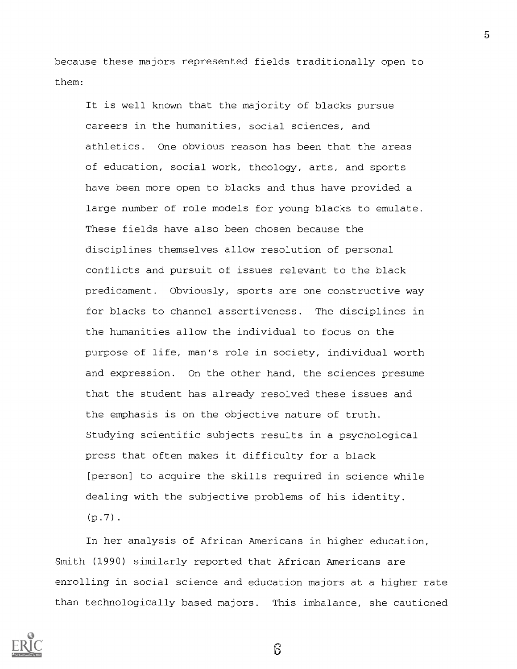because these majors represented fields traditionally open to them:

It is well known that the majority of blacks pursue careers in the humanities, social sciences, and athletics. One obvious reason has been that the areas of education, social work, theology, arts, and sports have been more open to blacks and thus have provided a large number of role models for young blacks to emulate. These fields have also been chosen because the disciplines themselves allow resolution of personal conflicts and pursuit of issues relevant to the black predicament. Obviously, sports are one constructive way for blacks to channel assertiveness. The disciplines in the humanities allow the individual to focus on the purpose of life, man's role in society, individual worth and expression. On the other hand, the sciences presume that the student has already resolved these issues and the emphasis is on the objective nature of truth. Studying scientific subjects results in a psychological press that often makes it difficulty for a black [person] to acquire the skills required in science while dealing with the subjective problems of his identity.  $(p.7)$ .

In her analysis of African Americans in higher education, Smith (1990) similarly reported that African Americans are enrolling in social science and education majors at a higher rate than technologically based majors. This imbalance, she cautioned



5

Б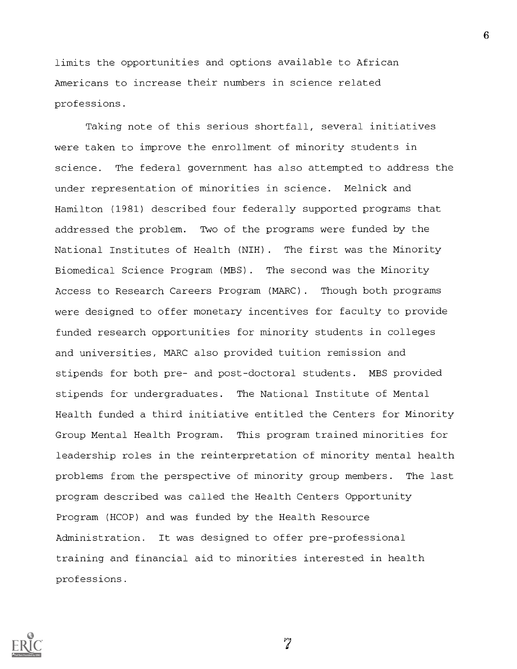limits the opportunities and options available to African Americans to increase their numbers in science related professions.

Taking note of this serious shortfall, several initiatives were taken to improve the enrollment of minority students in science. The federal government has also attempted to address the under representation of minorities in science. Melnick and Hamilton (1981) described four federally supported programs that addressed the problem. Two of the programs were funded by the National Institutes of Health (NIH). The first was the Minority Biomedical Science Program (MBS). The second was the Minority Access to Research Careers Program (MARC). Though both programs were designed to offer monetary incentives for faculty to provide funded research opportunities for minority students in colleges and universities, MARC also provided tuition remission and stipends for both pre- and post-doctoral students. MBS provided stipends for undergraduates. The National Institute of Mental Health funded a third initiative entitled the Centers for Minority Group Mental Health Program. This program trained minorities for leadership roles in the reinterpretation of minority mental health problems from the perspective of minority group members. The last program described was called the Health Centers Opportunity Program (HCOP) and was funded by the Health Resource Administration. It was designed to offer pre-professional training and financial aid to minorities interested in health professions.



 $\widetilde{7}$ 

 $\mathbf{6}$  and  $\mathbf{6}$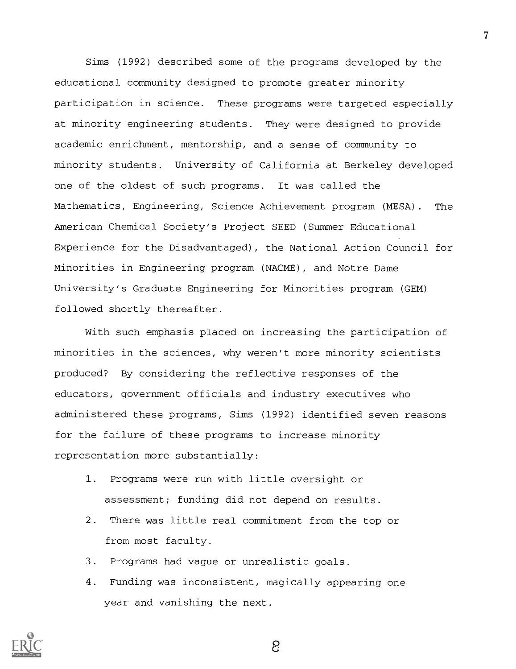Sims (1992) described some of the programs developed by the educational community designed to promote greater minority participation in science. These programs were targeted especially at minority engineering students. They were designed to provide academic enrichment, mentorship, and a sense of community to minority students. University of California at Berkeley developed one of the oldest of such programs. It was called the Mathematics, Engineering, Science Achievement program (MESA). The American Chemical Society's Project SEED (Summer Educational Experience for the Disadvantaged), the National Action Council for Minorities in Engineering program (NACME), and Notre Dame University's Graduate Engineering for Minorities program (GEM) followed shortly thereafter.

With such emphasis placed on increasing the participation of minorities in the sciences, why weren't more minority scientists produced? By considering the reflective responses of the educators, government officials and industry executives who administered these programs, Sims (1992) identified seven reasons for the failure of these programs to increase minority representation more substantially:

- 1. Programs were run with little oversight or assessment; funding did not depend on results.
- 2. There was little real commitment from the top or from most faculty.
- 3. Programs had vague or unrealistic goals.
- 4. Funding was inconsistent, magically appearing one year and vanishing the next.

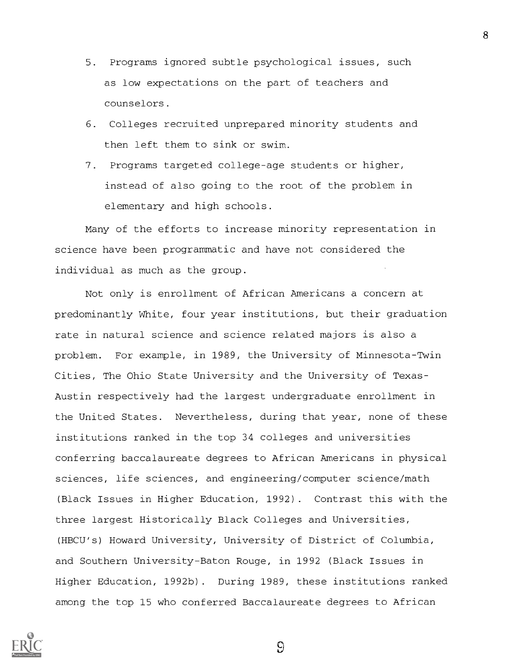- 5. Programs ignored subtle psychological issues, such as low expectations on the part of teachers and counselors.
- 6. Colleges recruited unprepared minority students and then left them to sink or swim.
- 7. Programs targeted college-age students or higher, instead of also going to the root of the problem in elementary and high schools.

Many of the efforts to increase minority representation in science have been programmatic and have not considered the individual as much as the group.

Not only is enrollment of African Americans a concern at predominantly White, four year institutions, but their graduation rate in natural science and science related majors is also a problem. For example, in 1989, the University of Minnesota-Twin Cities, The Ohio State University and the University of Texas-Austin respectively had the largest undergraduate enrollment in the United States. Nevertheless, during that year, none of these institutions ranked in the top 34 colleges and universities conferring baccalaureate degrees to African Americans in physical sciences, life sciences, and engineering/computer science/math (Black Issues in Higher Education, 1992). Contrast this with the three largest Historically Black Colleges and Universities, (HBCU's) Howard University, University of District of Columbia, and Southern University-Baton Rouge, in 1992 (Black Issues in Higher Education, 1992b). During 1989, these institutions ranked among the top 15 who conferred Baccalaureate degrees to African



 $\Omega$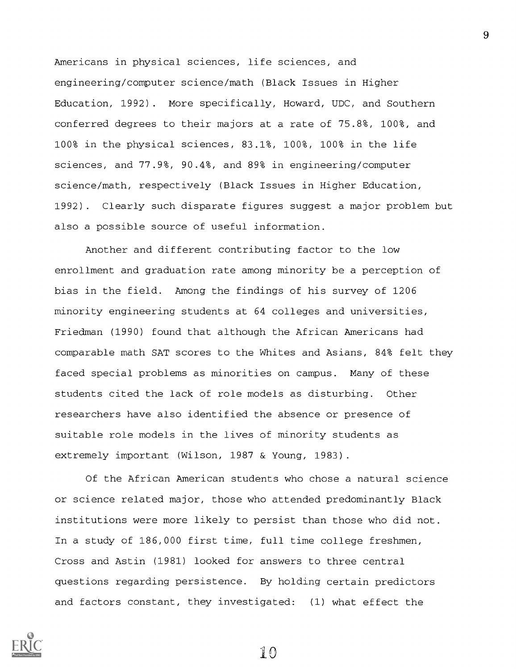Americans in physical sciences, life sciences, and engineering/computer science/math (Black Issues in Higher Education, 1992). More specifically, Howard, UDC, and Southern conferred degrees to their majors at a rate of 75.8%, 100%, and 100% in the physical sciences, 83.1%, 100%, 100% in the life sciences, and 77.9%, 90.4%, and 89% in engineering/computer science/math, respectively (Black Issues in Higher Education, 1992). Clearly such disparate figures suggest a major problem but also a possible source of useful information.

Another and different contributing factor to the low enrollment and graduation rate among minority be a perception of bias in the field. Among the findings of his survey of 1206 minority engineering students at 64 colleges and universities, Friedman (1990) found that although the African Americans had comparable math SAT scores to the Whites and Asians, 84% felt they faced special problems as minorities on campus. Many of these students cited the lack of role models as disturbing. Other researchers have also identified the absence or presence of suitable role models in the lives of minority students as extremely important (Wilson, 1987 & Young, 1983).

Of the African American students who chose a natural science or science related major, those who attended predominantly Black institutions were more likely to persist than those who did not. In a study of 186,000 first time, full time college freshmen, Cross and Astin (1981) looked for answers to three central questions regarding persistence. By holding certain predictors and factors constant, they investigated: (1) what effect the

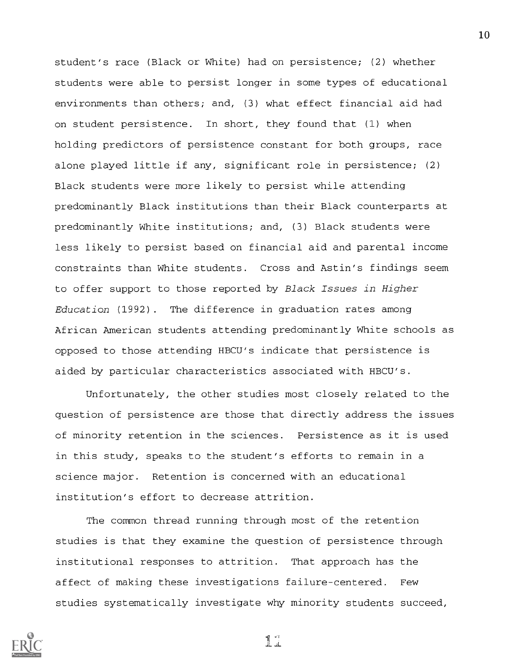student's race (Black or White) had on persistence; (2) whether students were able to persist longer in some types of educational environments than others; and, (3) what effect financial aid had on student persistence. In short, they found that (1) when holding predictors of persistence constant for both groups, race alone played little if any, significant role in persistence; (2) Black students were more likely to persist while attending predominantly Black institutions than their Black counterparts at predominantly White institutions; and, (3) Black students were less likely to persist based on financial aid and parental income constraints than White students. Cross and Astin's findings seem to offer support to those reported by Black Issues in Higher Education (1992). The difference in graduation rates among African American students attending predominantly White schools as opposed to those attending HBCU's indicate that persistence is aided by particular characteristics associated with HBCU's.

Unfortunately, the other studies most closely related to the question of persistence are those that directly address the issues of minority retention in the sciences. Persistence as it is used in this study, speaks to the student's efforts to remain in a science major. Retention is concerned with an educational institution's effort to decrease attrition.

The common thread running through most of the retention studies is that they examine the question of persistence through institutional responses to attrition. That approach has the affect of making these investigations failure-centered. Few studies systematically investigate why minority students succeed,



 $\prod_{i=1}^{n}$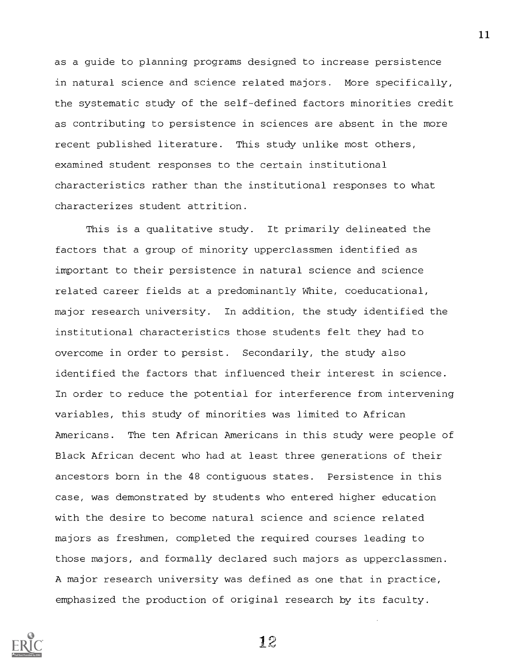as a guide to planning programs designed to increase persistence in natural science and science related majors. More specifically, the systematic study of the self-defined factors minorities credit as contributing to persistence in sciences are absent in the more recent published literature. This study unlike most others, examined student responses to the certain institutional characteristics rather than the institutional responses to what characterizes student attrition.

This is a qualitative study. It primarily delineated the factors that a group of minority upperclassmen identified as important to their persistence in natural science and science related career fields at a predominantly White, coeducational, major research university. In addition, the study identified the institutional characteristics those students felt they had to overcome in order to persist. Secondarily, the study also identified the factors that influenced their interest in science. In order to reduce the potential for interference from intervening variables, this study of minorities was limited to African Americans. The ten African Americans in this study were people of Black African decent who had at least three generations of their ancestors born in the 48 contiguous states. Persistence in this case, was demonstrated by students who entered higher education with the desire to become natural science and science related majors as freshmen, completed the required courses leading to those majors, and formally declared such majors as upperclassmen. A major research university was defined as one that in practice, emphasized the production of original research by its faculty.

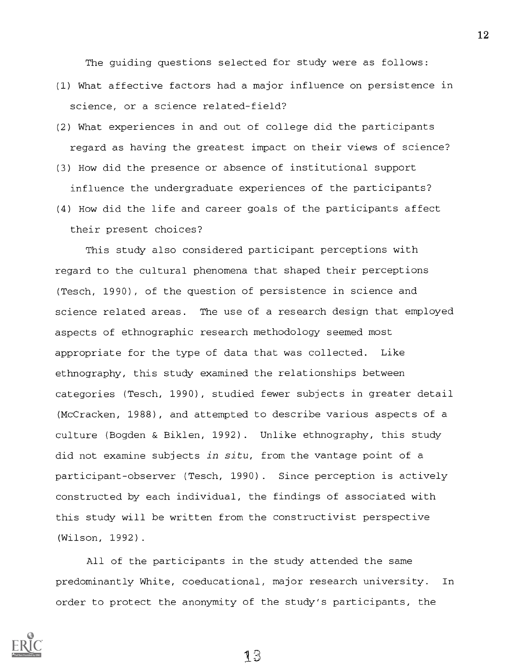The guiding questions selected for study were as follows:

- (1) What affective factors had a major influence on persistence in science, or a science related-field?
- (2) What experiences in and out of college did the participants regard as having the greatest impact on their views of science?
- (3) How did the presence or absence of institutional support influence the undergraduate experiences of the participants?
- (4) How did the life and career goals of the participants affect their present choices?

This study also considered participant perceptions with regard to the cultural phenomena that shaped their perceptions (Tesch, 1990), of the question of persistence in science and science related areas. The use of a research design that employed aspects of ethnographic research methodology seemed most appropriate for the type of data that was collected. Like ethnography, this study examined the relationships between categories (Tesch, 1990), studied fewer subjects in greater detail (McCracken, 1988), and attempted to describe various aspects of a culture (Bogden & Biklen, 1992). Unlike ethnography, this study did not examine subjects in situ, from the vantage point of a participant-observer (Tesch, 1990). Since perception is actively constructed by each individual, the findings of associated with this study will be written from the constructivist perspective (Wilson, 1992).

All of the participants in the study attended the same predominantly White, coeducational, major research university. In order to protect the anonymity of the study's participants, the

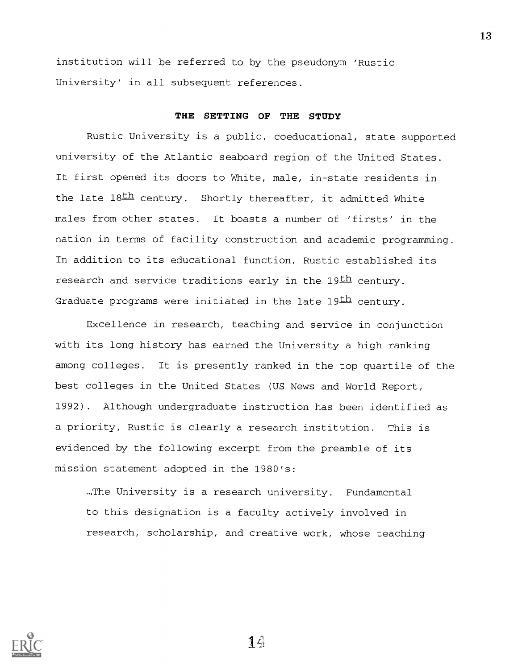institution will be referred to by the pseudonym 'Rustic University' in all subsequent references.

# THE SETTING OF THE STUDY

Rustic University is a public, coeducational, state supported university of the Atlantic seaboard region of the United States. It first opened its doors to White, male, in-state residents in the late 18th century. Shortly thereafter, it admitted White males from other states. It boasts a number of 'firsts' in the nation in terms of facility construction and academic programming. In addition to its educational function, Rustic established its research and service traditions early in the 19th century. Graduate programs were initiated in the late  $19th$  century.

Excellence in research, teaching and service in conjunction with its long history has earned the University a high ranking among colleges. It is presently ranked in the top quartile of the best colleges in the United States (US News and World Report, 1992). Although undergraduate instruction has been identified as a priority, Rustic is clearly a research institution. This is evidenced by the following excerpt from the preamble of its mission statement adopted in the 1980's:

...The University is a research university. Fundamental to this designation is a faculty actively involved in research, scholarship, and creative work, whose teaching

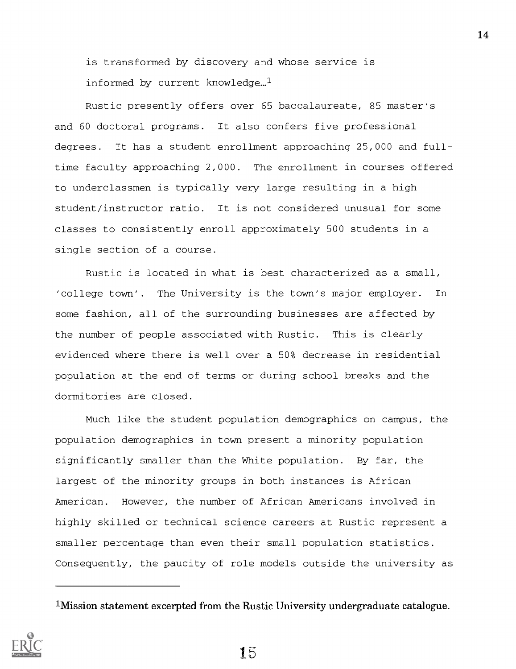is transformed by discovery and whose service is informed by current knowledge... $<sup>1</sup>$ </sup>

Rustic presently offers over 65 baccalaureate, 85 master's and 60 doctoral programs. It also confers five professional degrees. It has a student enrollment approaching 25,000 and fulltime faculty approaching 2,000. The enrollment in courses offered to underclassmen is typically very large resulting in a high student/instructor ratio. It is not considered unusual for some classes to consistently enroll approximately 500 students in a single section of a course.

Rustic is located in what is best characterized as a small, 'college town'. The University is the town's major employer. In some fashion, all of the surrounding businesses are affected by the number of people associated with Rustic. This is clearly evidenced where there is well over a 50% decrease in residential population at the end of terms or during school breaks and the dormitories are closed.

Much like the student population demographics on campus, the population demographics in town present a minority population significantly smaller than the White population. By far, the largest of the minority groups in both instances is African American. However, the number of African Americans involved in highly skilled or technical science careers at Rustic represent a smaller percentage than even their small population statistics. Consequently, the paucity of role models outside the university as

<sup>1</sup>Mission statement excerpted from the Rustic University undergraduate catalogue.

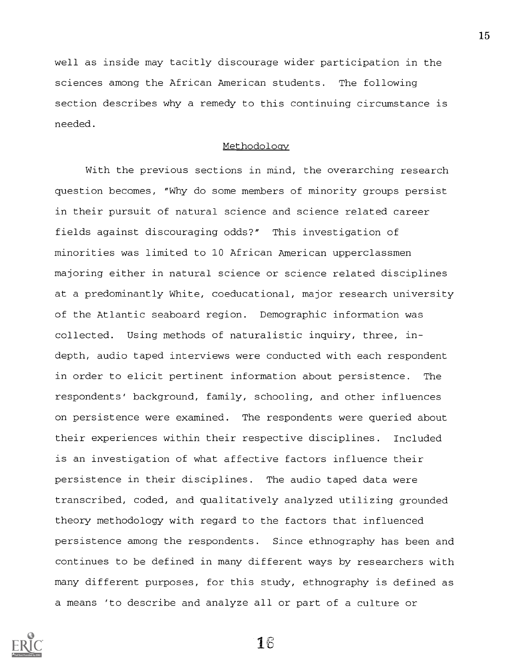well as inside may tacitly discourage wider participation in the sciences among the African American students. The following section describes why a remedy to this continuing circumstance is needed.

# Methodoloav

With the previous sections in mind, the overarching research question becomes, "Why do some members of minority groups persist in their pursuit of natural science and science related career fields against discouraging odds?" This investigation of minorities was limited to 10 African American upperclassmen majoring either in natural science or science related disciplines at a predominantly White, coeducational, major research university of the Atlantic seaboard region. Demographic information was collected. Using methods of naturalistic inquiry, three, indepth, audio taped interviews were conducted with each respondent in order to elicit pertinent information about persistence. The respondents' background, family, schooling, and other influences on persistence were examined. The respondents were queried about their experiences within their respective disciplines. Included is an investigation of what affective factors influence their persistence in their disciplines. The audio taped data were transcribed, coded, and qualitatively analyzed utilizing grounded theory methodology with regard to the factors that influenced persistence among the respondents. Since ethnography has been and continues to be defined in many different ways by researchers with many different purposes, for this study, ethnography is defined as a means 'to describe and analyze all or part of a culture or



1B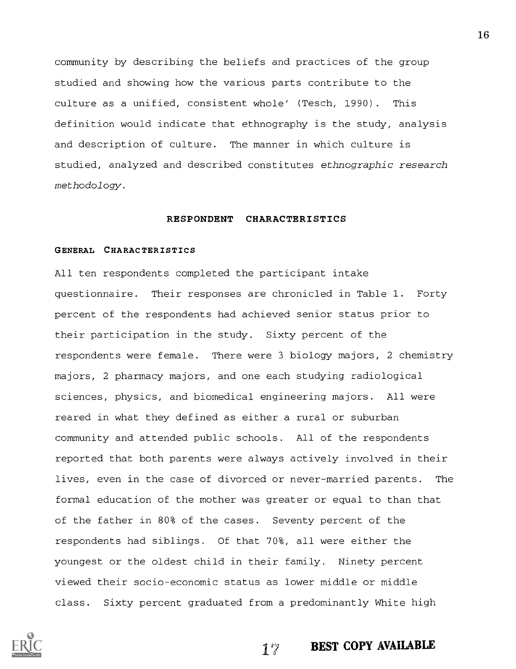community by describing the beliefs and practices of the group studied and showing how the various parts contribute to the culture as a unified, consistent whole' (Tesch, 1990). This definition would indicate that ethnography is the study, analysis and description of culture. The manner in which culture is studied, analyzed and described constitutes ethnographic research methodology.

#### RESPONDENT CHARACTERISTICS

# GENERAL CHARACTERISTICS

All ten respondents completed the participant intake questionnaire. Their responses are chronicled in Table 1. Forty percent of the respondents had achieved senior status prior to their participation in the study. Sixty percent of the respondents were female. There were 3 biology majors, 2 chemistry majors, 2 pharmacy majors, and one each studying radiological sciences, physics, and biomedical engineering majors. All were reared in what they defined as either a rural or suburban community and attended public schools. All of the respondents reported that both parents were always actively involved in their lives, even in the case of divorced or never-married parents. The formal education of the mother was greater or equal to than that of the father in 80% of the cases. Seventy percent of the respondents had siblings. Of that 70%, all were either the youngest or the oldest child in their family. Ninety percent viewed their socio-economic status as lower middle or middle class. Sixty percent graduated from a predominantly White high



17 BEST COPY AVAILABLE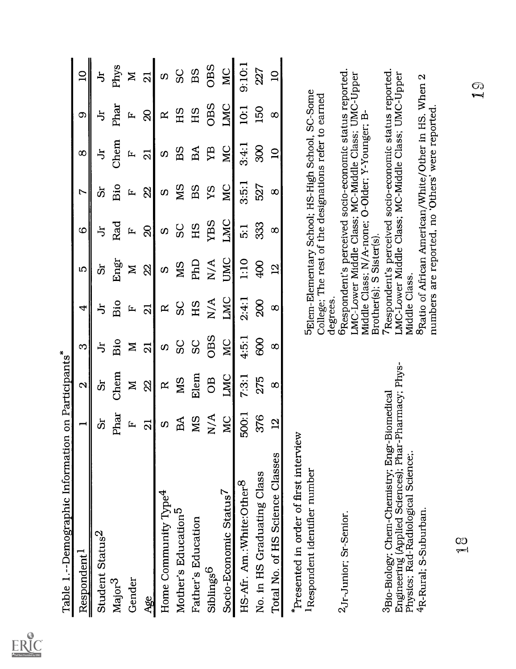| Table 1.--Demographic Information                                                                                                            |                       | on Participants <sup>*</sup> |                |                         |                          |               |           |                                                                                                                                                                 |          |                |
|----------------------------------------------------------------------------------------------------------------------------------------------|-----------------------|------------------------------|----------------|-------------------------|--------------------------|---------------|-----------|-----------------------------------------------------------------------------------------------------------------------------------------------------------------|----------|----------------|
| Respondent <sup>1</sup>                                                                                                                      | $\blacksquare$        | $\mathbf{\Omega}$            | S              | 4                       | LO                       | 6             | Ņ         | $\infty$                                                                                                                                                        | တ        | $\overline{a}$ |
| Student Status <sup>2</sup>                                                                                                                  | ທັ                    | ຜັ                           | ち              | う                       | ທັ                       | ち             | ຜັ        | ち                                                                                                                                                               | ち        | ち              |
| $\text{Major}^3$                                                                                                                             | Phar                  | Chem                         | Bio            | Bio                     | Engr                     | Rad           | Bio       | Chem                                                                                                                                                            | Phar     | Phys           |
| Gender                                                                                                                                       | 匞                     | $\geq$                       | $\mathbf{z}$   | [エ                      | $\geq$                   | Ĺ             | Ŀ         | Ŀ                                                                                                                                                               | Ŀ        | $\geq$         |
| Age                                                                                                                                          | $\overline{21}$       | $\Omega$                     | $\overline{2}$ | $\overline{\mathbf{a}}$ | $\Omega$                 | $\infty$      | 22        | $\overline{2}$                                                                                                                                                  | $\infty$ | ត              |
| Home Community Type <sup>4</sup>                                                                                                             | $\boldsymbol{\omega}$ | $\mathbf{R}$                 | <b>S</b>       | $\mathbf{R}$            | $\boldsymbol{\omega}$    | $\omega$      | $\Omega$  | $\Omega$                                                                                                                                                        | R        | $\Omega$       |
| Mother's Education <sup>5</sup>                                                                                                              | B <sub>A</sub>        | <b>MS</b>                    | ပ္တ            | ပ္တ                     | <b>NIS</b>               | SC            | <b>SM</b> | BS                                                                                                                                                              | HS       | ပ္တ            |
| Father's Education                                                                                                                           | MS                    | Elem                         | SC             | HS                      | PhD                      | HS            | BS        | BA                                                                                                                                                              | HS       | BS             |
| Siblings <sup>6</sup>                                                                                                                        | N/A                   | <b>OB</b>                    | OBS            | N/A                     | N/A                      | <b>YBS</b>    | YS        | УB                                                                                                                                                              | OBS      | OBS            |
| Socio-Economic Status <sup>7</sup>                                                                                                           | MC                    | LMC                          | <b>NC</b>      | LMC                     | UMC                      | LMC           | <b>NC</b> | <b>DM</b>                                                                                                                                                       | LMC      | MC             |
| HS-Afr. Am.:White:Other <sup>8</sup>                                                                                                         | 500:1                 | 7:3:1                        | 4:5:1          | 2:4:1                   | 1:10                     | $\frac{1}{5}$ | 3:5:1     | 3:4:1                                                                                                                                                           | 10:1     | 9:10:1         |
| No. in HS Graduating Class                                                                                                                   | 376                   | 275                          | 889            | $\frac{8}{2}$           | 904                      | 333           | 527       | $\frac{8}{3}$                                                                                                                                                   | 150      | 227            |
| Total No. of HS Science Classes                                                                                                              | $\overline{2}$        | $\infty$                     | $\infty$       | $\infty$                | $\overline{2}$           | $\infty$      | $\infty$  | $\overline{a}$                                                                                                                                                  | $\infty$ | $\overline{a}$ |
| *Presented in order of first interview<br><sup>1</sup> Respondent identifier number                                                          |                       |                              |                | degrees.                |                          |               |           | 5 Elem-Elementary School; HS-High School, SC-Some<br>College; The rest of the designations refer to earned                                                      |          |                |
| 2Jr-Junior; Sr-Senior.                                                                                                                       |                       |                              |                |                         | Brother(s); S Sister(s). |               |           | 6Respondent's perceived socio-economic status reported.<br>LMC-Lower Middle Class; MC-Middle Class; UMC-Upper<br>Middle Class; N/A-none; O-Older; Y-Younger; B- |          |                |
| Engineering (Applied Sciences); Phar-Pharmacy; Phys-<br>3Bio-Biology; Chem-Chemistry; Engr-Biomedical<br>Physics; Rad-Radiological Science;. |                       |                              |                | Middle Class.           |                          |               |           | Respondent's perceived socio-economic status reported.<br>LMC-Lower Middle Class; MC-Middle Class; UMC-Upper                                                    |          |                |
| 4R-Rural; S-Suburban.                                                                                                                        |                       |                              |                |                         |                          |               |           | 8 Ratio of African American/White/Other in HS. When 2<br>numbers are reported, no 'Others' were reported.                                                       |          |                |
| 00<br>p=1                                                                                                                                    |                       |                              |                |                         |                          |               |           |                                                                                                                                                                 |          | $\mathbb{Q}$   |
|                                                                                                                                              |                       |                              |                |                         |                          |               |           |                                                                                                                                                                 |          |                |
|                                                                                                                                              |                       |                              |                |                         |                          |               |           |                                                                                                                                                                 |          |                |

 $\underset{\overbrace{\mathsf{F} \text{ full fast Proof of by EHC}}} \bigcirc$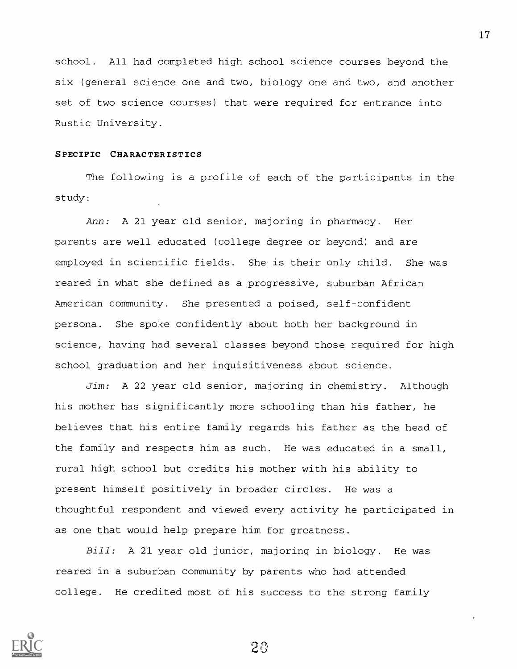school. All had completed high school science courses beyond the six (general science one and two, biology one and two, and another set of two science courses) that were required for entrance into Rustic University.

# SPECIFIC CHARACTERISTICS

The following is a profile of each of the participants in the study:

Ann: A 21 year old senior, majoring in pharmacy. Her parents are well educated (college degree or beyond) and are employed in scientific fields. She is their only child. She was reared in what she defined as a progressive, suburban African American community. She presented a poised, self-confident persona. She spoke confidently about both her background in science, having had several classes beyond those required for high school graduation and her inquisitiveness about science.

Jim: A 22 year old senior, majoring in chemistry. Although his mother has significantly more schooling than his father, he believes that his entire family regards his father as the head of the family and respects him as such. He was educated in a small, rural high school but credits his mother with his ability to present himself positively in broader circles. He was a thoughtful respondent and viewed every activity he participated in as one that would help prepare him for greatness.

Bill: A 21 year old junior, majoring in biology. He was reared in a suburban community by parents who had attended college. He credited most of his success to the strong family

20

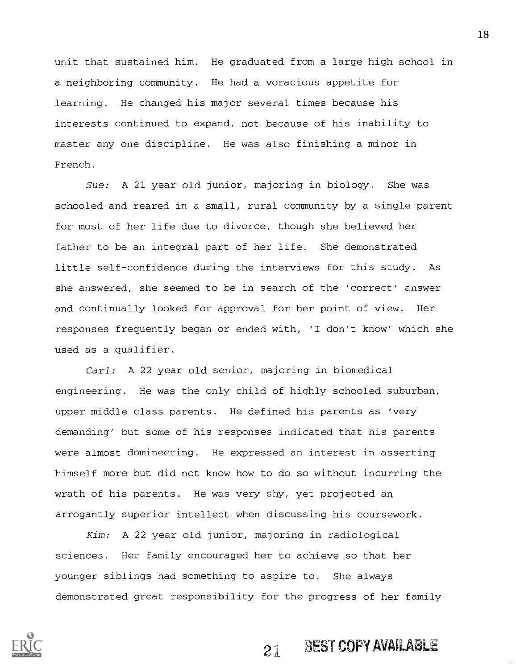unit that sustained him. He graduated from a large high school in a neighboring community. He had a voracious appetite for learning. He changed his major several times because his interests continued to expand, not because of his inability to master any one discipline. He was also finishing a minor in French.

Sue: A 21 year old junior, majoring in biology. She was schooled and reared in a small, rural community by a single parent for most of her life due to divorce, though she believed her father to be an integral part of her life. She demonstrated little self-confidence during the interviews for this study. As she answered, she seemed to be in search of the 'correct' answer and continually looked for approval for her point of view. Her responses frequently began or ended with, 'I don't know' which she used as a qualifier.

Carl: A 22 year old senior, majoring in biomedical engineering. He was the only child of highly schooled suburban, upper middle class parents. He defined his parents as 'very demanding' but some of his responses indicated that his parents were almost domineering. He expressed an interest in asserting himself more but did not know how to do so without incurring the wrath of his parents. He was very shy, yet projected an arrogantly superior intellect when discussing his coursework.

Kim: A 22 year old junior, majoring in radiological sciences. Her family encouraged her to achieve so that her younger siblings had something to aspire to. She always demonstrated great responsibility for the progress of her family



# $2\lambda$  BEST COPY AVAILABLE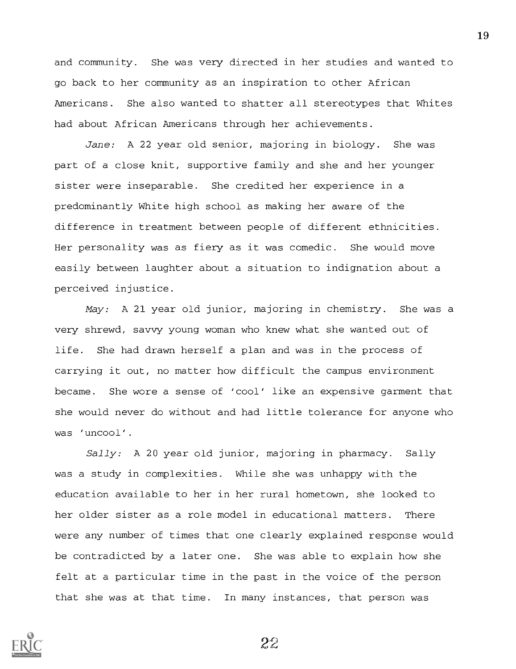and community. She was very directed in her studies and wanted to go back to her community as an inspiration to other African Americans. She also wanted to shatter all stereotypes that Whites had about African Americans through her achievements.

Jane: A 22 year old senior, majoring in biology. She was part of a close knit, supportive family and she and her younger sister were inseparable. She credited her experience in a predominantly White high school as making her aware of the difference in treatment between people of different ethnicities. Her personality was as fiery as it was comedic. She would move easily between laughter about a situation to indignation about a perceived injustice.

May: A 21 year old junior, majoring in chemistry. She was a very shrewd, savvy young woman who knew what she wanted out of life. She had drawn herself a plan and was in the process of carrying it out, no matter how difficult the campus environment became. She wore a sense of 'cool' like an expensive garment that she would never do without and had little tolerance for anyone who was 'uncool'.

Sally: A 20 year old junior, majoring in pharmacy. Sally was a study in complexities. While she was unhappy with the education available to her in her rural hometown, she looked to her older sister as a role model in educational matters. There were any number of times that one clearly explained response would be contradicted by a later one. She was able to explain how she felt at a particular time in the past in the voice of the person that she was at that time. In many instances, that person was

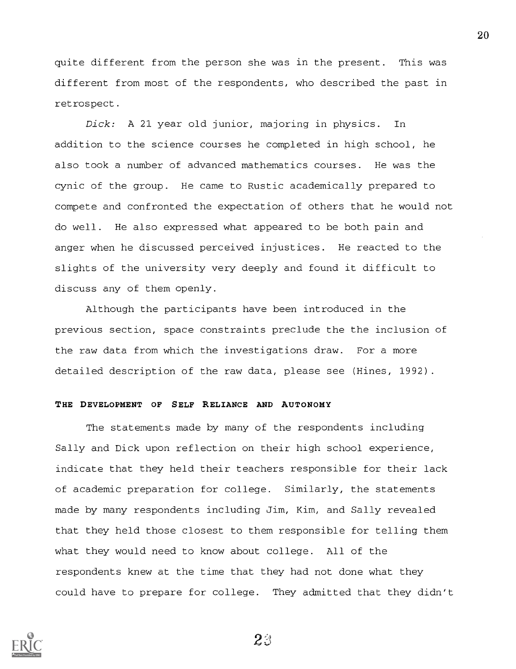quite different from the person she was in the present. This was different from most of the respondents, who described the past in retrospect.

Dick: A 21 year old junior, majoring in physics. In addition to the science courses he completed in high school, he also took a number of advanced mathematics courses. He was the cynic of the group. He came to Rustic academically prepared to compete and confronted the expectation of others that he would not do well. He also expressed what appeared to be both pain and anger when he discussed perceived injustices. He reacted to the slights of the university very deeply and found it difficult to discuss any of them openly.

Although the participants have been introduced in the previous section, space constraints preclude the the inclusion of the raw data from which the investigations draw. For a more detailed description of the raw data, please see (Hines, 1992).

#### THE DEVELOPMENT OF SELF RELIANCE AND AUTONOMY

The statements made by many of the respondents including Sally and Dick upon reflection on their high school experience, indicate that they held their teachers responsible for their lack of academic preparation for college. Similarly, the statements made by many respondents including Jim, Kim, and Sally revealed that they held those closest to them responsible for telling them what they would need to know about college. All of the respondents knew at the time that they had not done what they could have to prepare for college. They admitted that they didn't



 $23$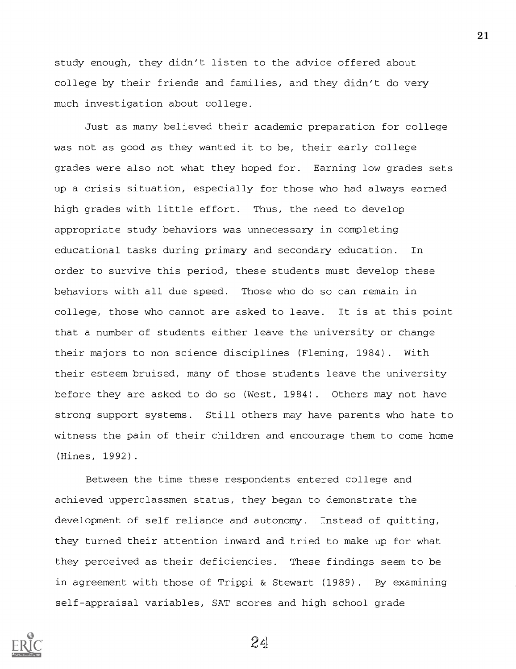study enough, they didn't listen to the advice offered about college by their friends and families, and they didn't do very much investigation about college.

Just as many believed their academic preparation for college was not as good as they wanted it to be, their early college grades were also not what they hoped for. Earning low grades sets up a crisis situation, especially for those who had always earned high grades with little effort. Thus, the need to develop appropriate study behaviors was unnecessary in completing educational tasks during primary and secondary education. In order to survive this period, these students must develop these behaviors with all due speed. Those who do so can remain in college, those who cannot are asked to leave. It is at this point that a number of students either leave the university or change their majors to non-science disciplines (Fleming, 1984). With their esteem bruised, many of those students leave the university before they are asked to do so (West, 1984). Others may not have strong support systems. Still others may have parents who hate to witness the pain of their children and encourage them to come home (Hines, 1992).

Between the time these respondents entered college and achieved upperclassmen status, they began to demonstrate the development of self reliance and autonomy. Instead of quitting, they turned their attention inward and tried to make up for what they perceived as their deficiencies. These findings seem to be in agreement with those of Trippi & Stewart (1989). By examining self-appraisal variables, SAT scores and high school grade

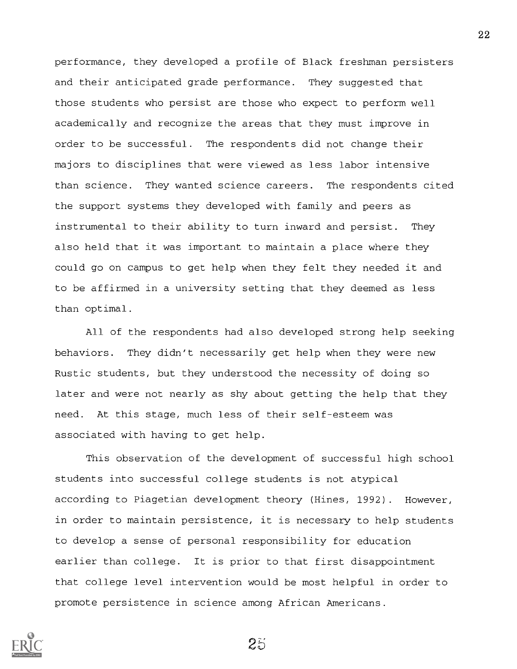performance, they developed a profile of Black freshman persisters and their anticipated grade performance. They suggested that those students who persist are those who expect to perform well academically and recognize the areas that they must improve in order to be successful. The respondents did not change their majors to disciplines that were viewed as less labor intensive than science. They wanted science careers. The respondents cited the support systems they developed with family and peers as instrumental to their ability to turn inward and persist. They also held that it was important to maintain a place where they could go on campus to get help when they felt they needed it and to be affirmed in a university setting that they deemed as less than optimal.

All of the respondents had also developed strong help seeking behaviors. They didn't necessarily get help when they were new Rustic students, but they understood the necessity of doing so later and were not nearly as shy about getting the help that they need. At this stage, much less of their self-esteem was associated with having to get help.

This observation of the development of successful high school students into successful college students is not atypical according to Piagetian development theory (Hines, 1992). However, in order to maintain persistence, it is necessary to help students to develop a sense of personal responsibility for education earlier than college. It is prior to that first disappointment that college level intervention would be most helpful in order to promote persistence in science among African Americans.

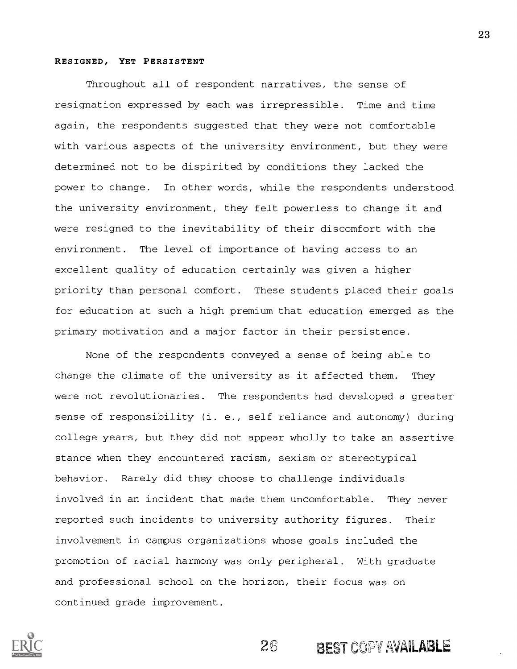## RESIGNED, YET PERSISTENT

Throughout all of respondent narratives, the sense of resignation expressed by each was irrepressible. Time and time again, the respondents suggested that they were not comfortable with various aspects of the university environment, but they were determined not to be dispirited by conditions they lacked the power to change. In other words, while the respondents understood the university environment, they felt powerless to change it and were resigned to the inevitability of their discomfort with the environment. The level of importance of having access to an excellent quality of education certainly was given a higher priority than personal comfort. These students placed their goals for education at such a high premium that education emerged as the primary motivation and a major factor in their persistence.

None of the respondents conveyed a sense of being able to change the climate of the university as it affected them. They were not revolutionaries. The respondents had developed a greater sense of responsibility (i. e., self reliance and autonomy) during college years, but they did not appear wholly to take an assertive stance when they encountered racism, sexism or stereotypical behavior. Rarely did they choose to challenge individuals involved in an incident that made them uncomfortable. They never reported such incidents to university authority figures. Their involvement in campus organizations whose goals included the promotion of racial harmony was only peripheral. With graduate and professional school on the horizon, their focus was on continued grade improvement.



26 BEST COPY AVAILABLE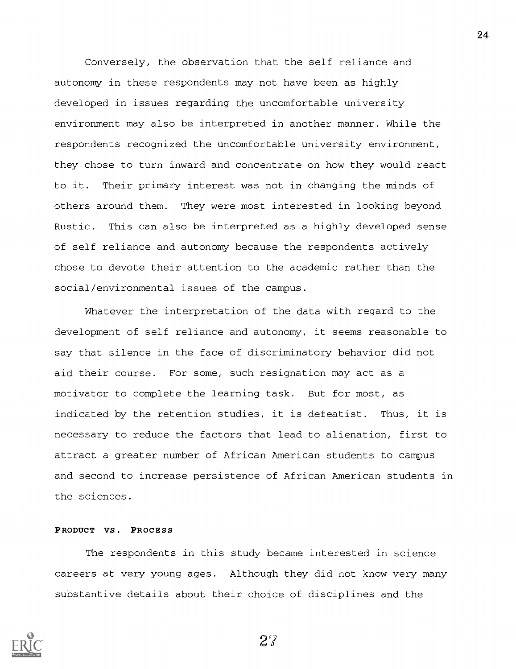Conversely, the observation that the self reliance and autonomy in these respondents may not have been as highly developed in issues regarding the uncomfortable university environment may also be interpreted in another manner. While the respondents recognized the uncomfortable university environment, they chose to turn inward and concentrate on how they would react to it. Their primary interest was not in changing the minds of others around them. They were most interested in looking beyond Rustic. This can also be interpreted as a highly developed sense of self reliance and autonomy because the respondents actively chose to devote their attention to the academic rather than the social/environmental issues of the campus.

Whatever the interpretation of the data with regard to the development of self reliance and autonomy, it seems reasonable to say that silence in the face of discriminatory behavior did not aid their course. For some, such resignation may act as a motivator to complete the learning task. But for most, as indicated by the retention studies, it is defeatist. Thus, it is necessary to reduce the factors that lead to alienation, first to attract a greater number of African American students to campus and second to increase persistence of African American students in the sciences.

# PRODUCT VS. PROCESS

The respondents in this study became interested in science careers at very young ages. Although they did not know very many substantive details about their choice of disciplines and the



27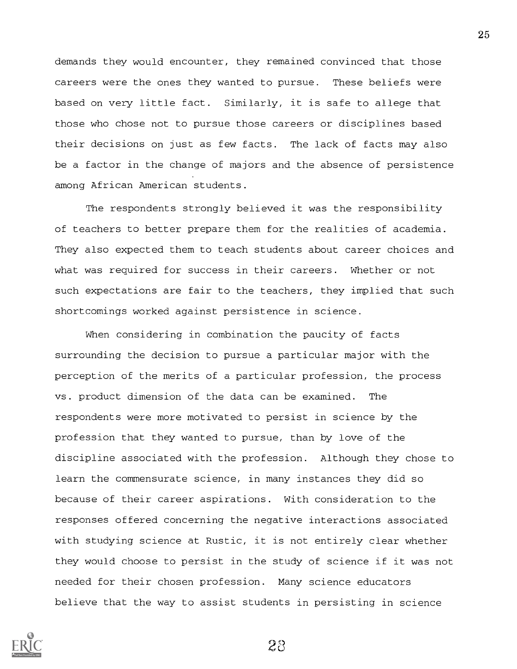demands they would encounter, they remained convinced that those careers were the ones they wanted to pursue. These beliefs were based on very little fact. Similarly, it is safe to allege that those who chose not to pursue those careers or disciplines based their decisions on just as few facts. The lack of facts may also be a factor in the change of majors and the absence of persistence among African American students.

The respondents strongly believed it was the responsibility of teachers to better prepare them for the realities of academia. They also expected them to teach students about career choices and what was required for success in their careers. Whether or not such expectations are fair to the teachers, they implied that such shortcomings worked against persistence in science.

When considering in combination the paucity of facts surrounding the decision to pursue a particular major with the perception of the merits of a particular profession, the process vs. product dimension of the data can be examined. The respondents were more motivated to persist in science by the profession that they wanted to pursue, than by love of the discipline associated with the profession. Although they chose to learn the commensurate science, in many instances they did so because of their career aspirations. With consideration to the responses offered concerning the negative interactions associated with studying science at Rustic, it is not entirely clear whether they would choose to persist in the study of science if it was not needed for their chosen profession. Many science educators believe that the way to assist students in persisting in science



2a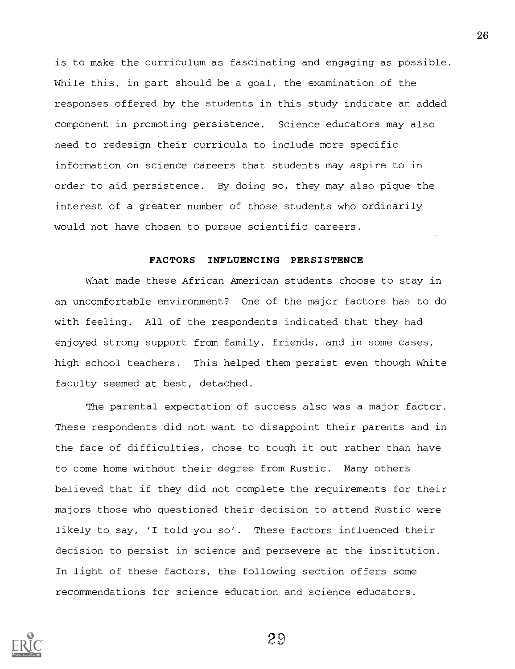is to make the curriculum as fascinating and engaging as possible. While this, in part should be a goal, the examination of the responses offered by the students in this study indicate an added component in promoting persistence. Science educators may also need to redesign their curricula to include more specific information on science careers that students may aspire to in order to aid persistence. By doing so, they may also pique the interest of a greater number of those students who ordinarily would not have chosen to pursue scientific careers.

# FACTORS INFLUENCING PERSISTENCE

What made these African American students choose to stay in an uncomfortable environment? One of the major factors has to do with feeling. All of the respondents indicated that they had enjoyed strong support from family, friends, and in some cases, high school teachers. This helped them persist even though White faculty seemed at best, detached.

The parental expectation of success also was a major factor. These respondents did not want to disappoint their parents and in the face of difficulties, chose to tough it out rather than have to come home without their degree from Rustic. Many others believed that if they did not complete the requirements for their majors those who questioned their decision to attend Rustic were likely to say, 'I told you so'. These factors influenced their decision to persist in science and persevere at the institution. In light of these factors, the following section offers some recommendations for science education and science educators.

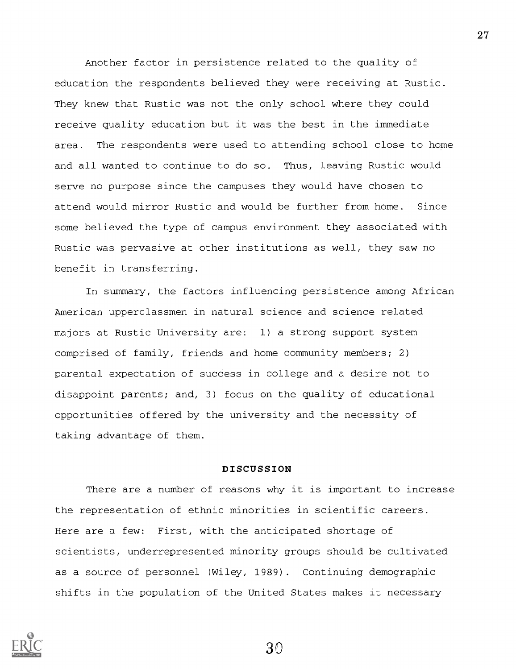Another factor in persistence related to the quality of education the respondents believed they were receiving at Rustic. They knew that Rustic was not the only school where they could receive quality education but it was the best in the immediate area. The respondents were used to attending school close to home and all wanted to continue to do so. Thus, leaving Rustic would serve no purpose since the campuses they would have chosen to attend would mirror Rustic and would be further from home. Since some believed the type of campus environment they associated with Rustic was pervasive at other institutions as well, they saw no benefit in transferring.

In summary, the factors influencing persistence among African American upperclassmen in natural science and science related majors at Rustic University are: 1) a strong support system comprised of family, friends and home community members; 2) parental expectation of success in college and a desire not to disappoint parents; and, 3) focus on the quality of educational opportunities offered by the university and the necessity of taking advantage of them.

### DISCUSSION

There are a number of reasons why it is important to increase the representation of ethnic minorities in scientific careers. Here are a few: First, with the anticipated shortage of scientists, underrepresented minority groups should be cultivated as a source of personnel (Wiley, 1989). Continuing demographic shifts in the population of the United States makes it necessary



27

 $30 \,$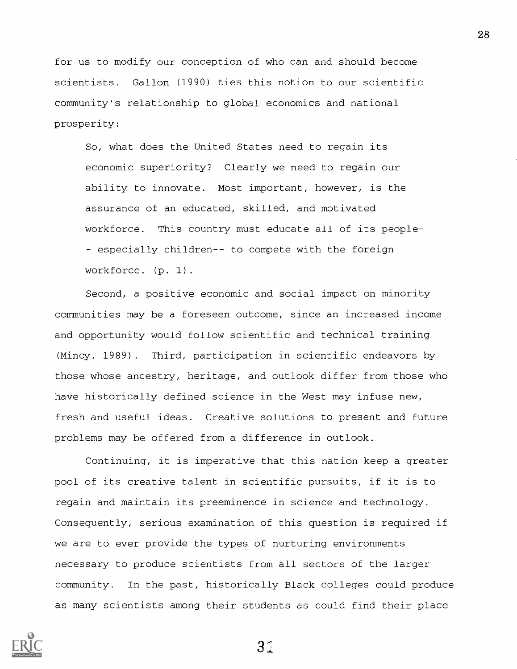for us to modify our conception of who can and should become scientists. Gallon (1990) ties this notion to our scientific community's relationship to global economics and national prosperity:

So, what does the United States need to regain its economic superiority? Clearly we need to regain our ability to innovate. Most important, however, is the assurance of an educated, skilled, and motivated workforce. This country must educate all of its people-- especially children-- to compete with the foreign workforce. (p. 1).

Second, a positive economic and social impact on minority communities may be a foreseen outcome, since an increased income and opportunity would follow scientific and technical training (Mincy, 1989). Third, participation in scientific endeavors by those whose ancestry, heritage, and outlook differ from those who have historically defined science in the West may infuse new, fresh and useful ideas. Creative solutions to present and future problems may be offered from a difference in outlook.

Continuing, it is imperative that this nation keep a greater pool of its creative talent in scientific pursuits, if it is to regain and maintain its preeminence in science and technology. Consequently, serious examination of this question is required if we are to ever provide the types of nurturing environments necessary to produce scientists from all sectors of the larger community. In the past, historically Black colleges could produce as many scientists among their students as could find their place

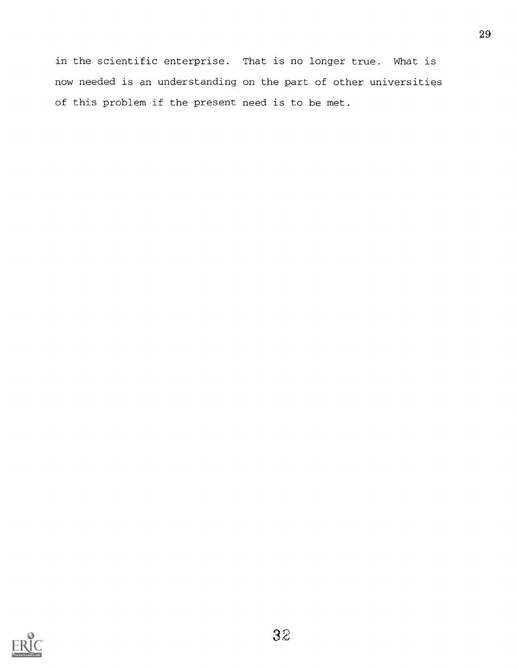in the scientific enterprise. That is no longer true. What is now needed is an understanding on the part of other universities of this problem if the present need is to be met.

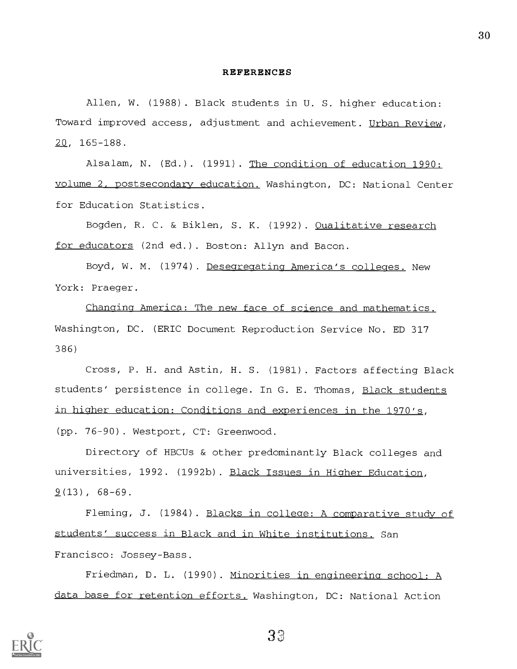#### REFERENCES

Allen, W. (1988). Black students in U. S. higher education: Toward improved access, adjustment and achievement. Urban Review, 20, 165-188.

Alsalam, N. (Ed.). (1991). The condition of education 1990: volume 2, postsecondary education. Washington, DC: National Center for Education Statistics.

Bogden, R. C. & Biklen, S. K. (1992). Oualitative research for educators (2nd ed.). Boston: Allyn and Bacon.

Boyd, W. M. (1974). Desegregating America's colleges. New York: Praeger.

Changing America: The new face of science and mathematics. Washington, DC. (ERIC Document Reproduction Service No. ED 317 386)

Cross, P. H. and Astin, H. S. (1981). Factors affecting Black students' persistence in college. In G. E. Thomas, Black students in higher education: Conditions and experiences in the 1970's, (pp. 76-90). Westport, CT: Greenwood.

Directory of HBCUs & other predominantly Black colleges and universities, 1992. (1992b). Black Issues in Higher Education,  $9(13)$ , 68-69.

Fleming, J. (1984). Blacks in college: A comparative study of students' success in Black and in White institutions. San Francisco: Jossey-Bass.

Friedman, D. L. (1990). Minorities in engineering school: A data base for retention efforts. Washington, DC: National Action



33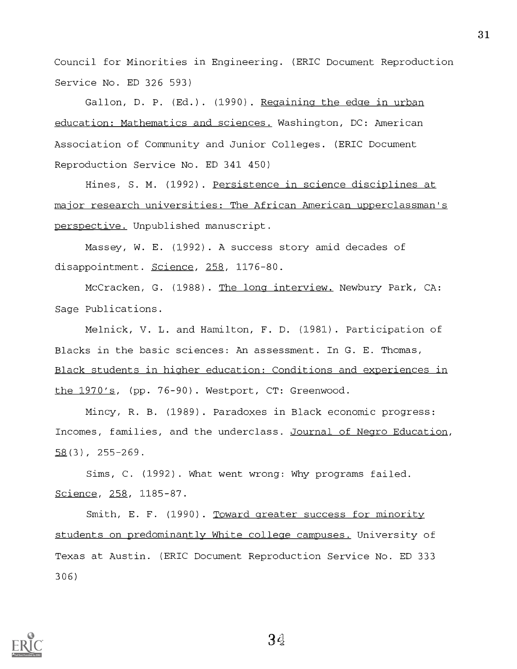Council for Minorities in Engineering. (ERIC Document Reproduction Service No. ED 326 593)

Gallon, D. P. (Ed.). (1990). Regaining the edge in urban education: Mathematics and sciences. Washington, DC: American Association of Community and Junior Colleges. (ERIC Document Reproduction Service No. ED 341 450)

Hines, S. M. (1992). Persistence in science disciplines at major research universities: The African American upperclassman's perspective. Unpublished manuscript.

Massey, W. E. (1992). A success story amid decades of disappointment. Science, 258, 1176-80.

McCracken, G. (1988). The long interview. Newbury Park, CA: Sage Publications.

Melnick, V. L. and Hamilton, F. D. (1981). Participation of Blacks in the basic sciences: An assessment. In G. E. Thomas, Black students in higher education: Conditions and experiences in the 1970's, (pp. 76-90). Westport, CT: Greenwood.

Mincy, R. B. (1989). Paradoxes in Black economic progress: Incomes, families, and the underclass. Journal of Negro Education, 58(3), 255-269.

Sims, C. (1992). What went wrong: Why programs failed. Science, 258, 1185-87.

Smith, E. F. (1990). Toward greater success for minority students on predominantly White colleae campuses. University of Texas at Austin. (ERIC Document Reproduction Service No. ED 333 306)



 $3d$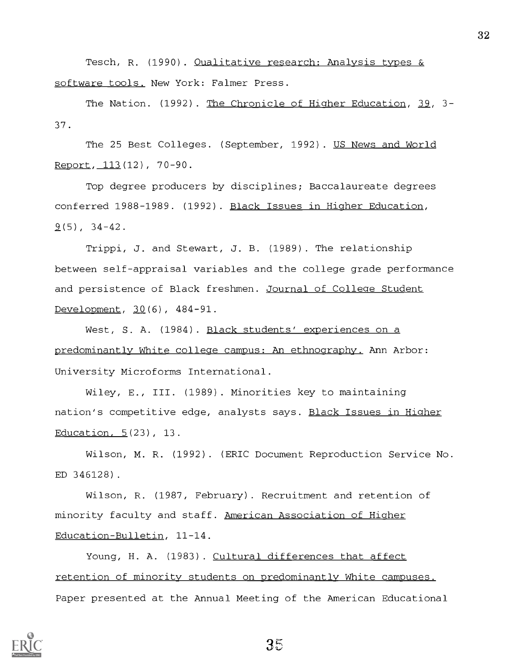Tesch, R. (1990). Qualitative research: Analysis types & software tools. New York: Falmer Press.

The Nation. (1992). The Chronicle of Higher Education, 39, 3-37.

The 25 Best Colleges. (September, 1992). US News and World Report, 113(12), 70-90.

Top degree producers by disciplines; Baccalaureate degrees conferred 1988-1989. (1992). Black Issues in Higher Education,  $9(5)$ , 34-42.

Trippi, J. and Stewart, J. B. (1989). The relationship between self-appraisal variables and the college grade performance and persistence of Black freshmen. Journal of College Student Development, 30(6), 484-91.

West, S. A. (1984). Black students' experiences on a predominantly White college campus: An ethnography. Ann Arbor: University Microforms International.

Wiley, E., III. (1989). Minorities key to maintaining nation's competitive edge, analysts says. Black Issues in Higher Education, 5(23), 13.

Wilson, M. R. (1992). (ERIC Document Reproduction Service No. ED 346128).

Wilson, R. (1987, February). Recruitment and retention of minority faculty and staff. American Association of Higher Education-Bulletin, 11-14.

Young, H. A. (1983). Cultural differences that affect retention of minority students on predominantly White campuses. Paper presented at the Annual Meeting of the American Educational



 $35$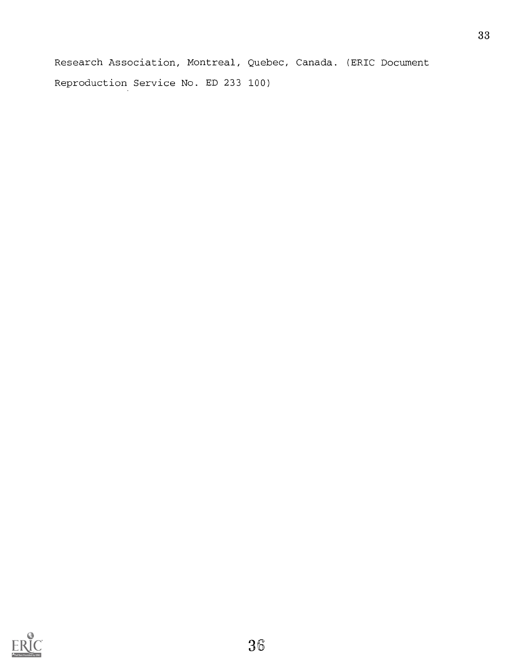Research Association, Montreal, Quebec, Canada. (ERIC Document Reproduction Service No. ED 233 100)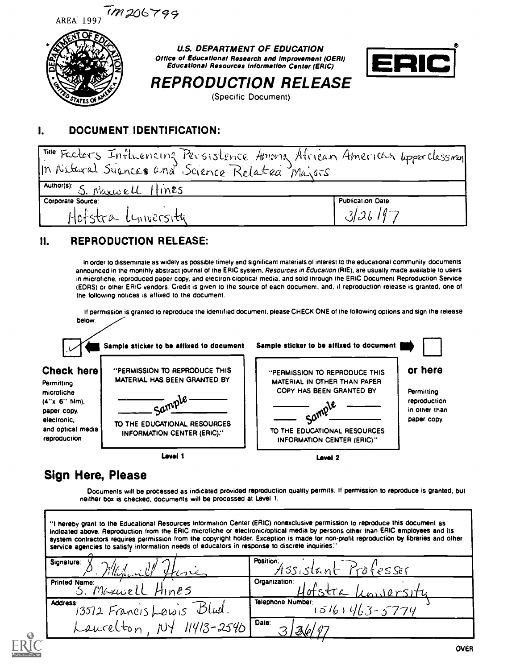



U.S. DEPARTMENT OF EDUCATION Office of Educational Research and Improvement (OERI) Educational Resources Information Center (ERIC)



REPRODUCTION RELEASE (Specific Document)

# I. DOCUMENT IDENTIFICATION:

| Time Factors Influencing Persistence Among African American upperclassment |                          |  |  |  |
|----------------------------------------------------------------------------|--------------------------|--|--|--|
| In Natural Sciences and Science Related Majors                             |                          |  |  |  |
| Author(s): S. Maxwell Hines                                                |                          |  |  |  |
| Corporate Source:                                                          | <b>Publication Date:</b> |  |  |  |
| Hofstra Linnersity                                                         | 326197                   |  |  |  |

# II. REPRODUCTION RELEASE:

In order to disseminate as widely as possible timely and significant materials of interest to the educational community, documents announced in the monthly abstract journal of the ERIC system, Resources in Education (RIE), are usually made available to users in microfiche, reproduced paper copy, and electronic/optical media, and sold through the ERIC Document Reproduction Service (EDRS) or other ERIC vendors. Credit is given to the source of each document, and, if reproduction release is granted, one of the following notices is affixed to the document.

If permission is granted to reproduce the identified document, please CHECK ONE of the following options and sign the release below.



# Sign Here, Please

Documents will be processed as indicated provided reproduction quality permits. If permission to reproduce is granted, but neither box is checked, documents will be processed at Level 1.

"I hereby grant to the Educational Resources Information Center (ERIC) nonexclusive permission to reproduce this document as indicated above. Reproduction from the ERIC microfiche or electronic/optical media by persons other than ERIC employees and its system contractors requires permission from the copyright holder. Exception is made for non-profit reproduction by libraries and other service agencies to satisfy information needs of educators in response to discrete inquiries. Signature: P. Maxwell Hines Position: ssistant Professer Printed Name:  $5.$  Moxuel Organization: Hotstra Luiversity Address: \_ .  $13512$  Francis Lewis Dlud. Laurelton, NY  $NY$   $11413 - 2546$ Telephone Number:  $(516)$ Date: